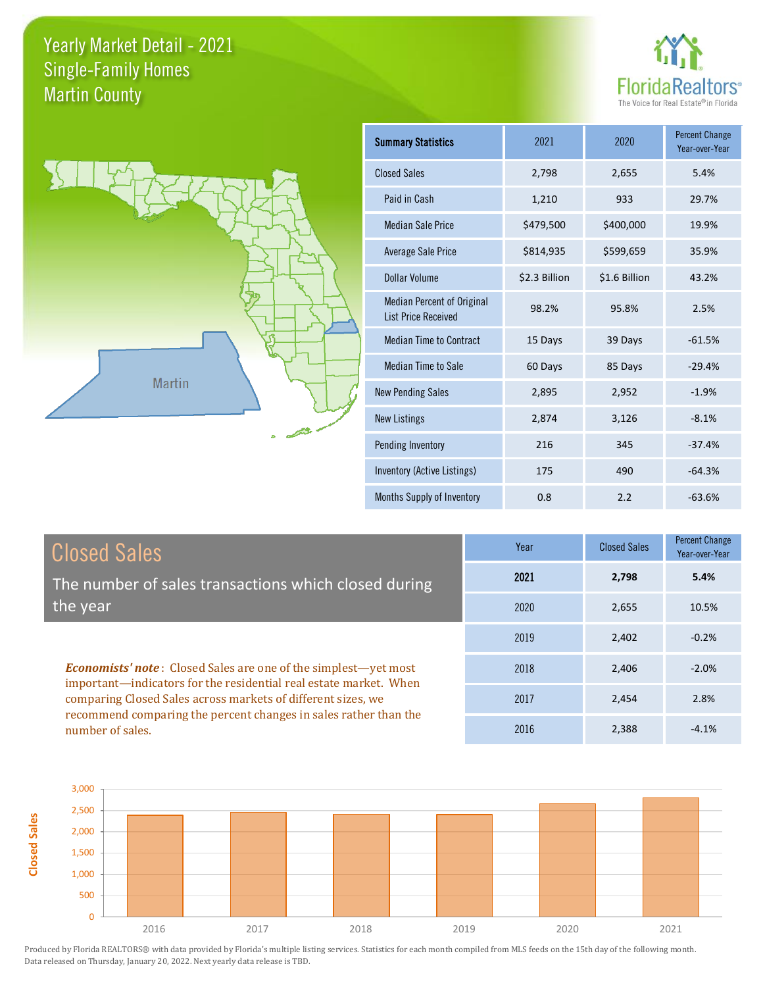**Closed Sales**





| <b>Summary Statistics</b>                                       | 2021          | 2020          | <b>Percent Change</b><br>Year-over-Year |
|-----------------------------------------------------------------|---------------|---------------|-----------------------------------------|
| <b>Closed Sales</b>                                             | 2,798         | 2,655         | 5.4%                                    |
| Paid in Cash                                                    | 1,210         | 933           | 29.7%                                   |
| <b>Median Sale Price</b>                                        | \$479,500     | \$400,000     | 19.9%                                   |
| <b>Average Sale Price</b>                                       | \$814,935     | \$599,659     | 35.9%                                   |
| Dollar Volume                                                   | \$2.3 Billion | \$1.6 Billion | 43.2%                                   |
| <b>Median Percent of Original</b><br><b>List Price Received</b> | 98.2%         | 95.8%         | 2.5%                                    |
| <b>Median Time to Contract</b>                                  | 15 Days       | 39 Days       | $-61.5%$                                |
| <b>Median Time to Sale</b>                                      | 60 Days       | 85 Days       | $-29.4%$                                |
| <b>New Pending Sales</b>                                        | 2,895         | 2,952         | $-1.9%$                                 |
| <b>New Listings</b>                                             | 2,874         | 3,126         | $-8.1%$                                 |
| Pending Inventory                                               | 216           | 345           | $-37.4%$                                |
| Inventory (Active Listings)                                     | 175           | 490           | $-64.3%$                                |
| Months Supply of Inventory                                      | 0.8           | 2.2           | $-63.6%$                                |

| <b>Closed Sales</b>                                                                                                                         | Year | <b>Closed Sales</b> | <b>Percent Change</b><br>Year-over-Year |
|---------------------------------------------------------------------------------------------------------------------------------------------|------|---------------------|-----------------------------------------|
| The number of sales transactions which closed during                                                                                        | 2021 | 2,798               | 5.4%                                    |
| the year                                                                                                                                    | 2020 | 2,655               | 10.5%                                   |
|                                                                                                                                             | 2019 | 2,402               | $-0.2%$                                 |
| <b>Economists' note:</b> Closed Sales are one of the simplest—yet most<br>important—indicators for the residential real estate market. When | 2018 | 2,406               | $-2.0%$                                 |
| comparing Closed Sales across markets of different sizes, we                                                                                | 2017 | 2,454               | 2.8%                                    |
| recommend comparing the percent changes in sales rather than the<br>number of sales.                                                        | 2016 | 2.388               | $-4.1%$                                 |

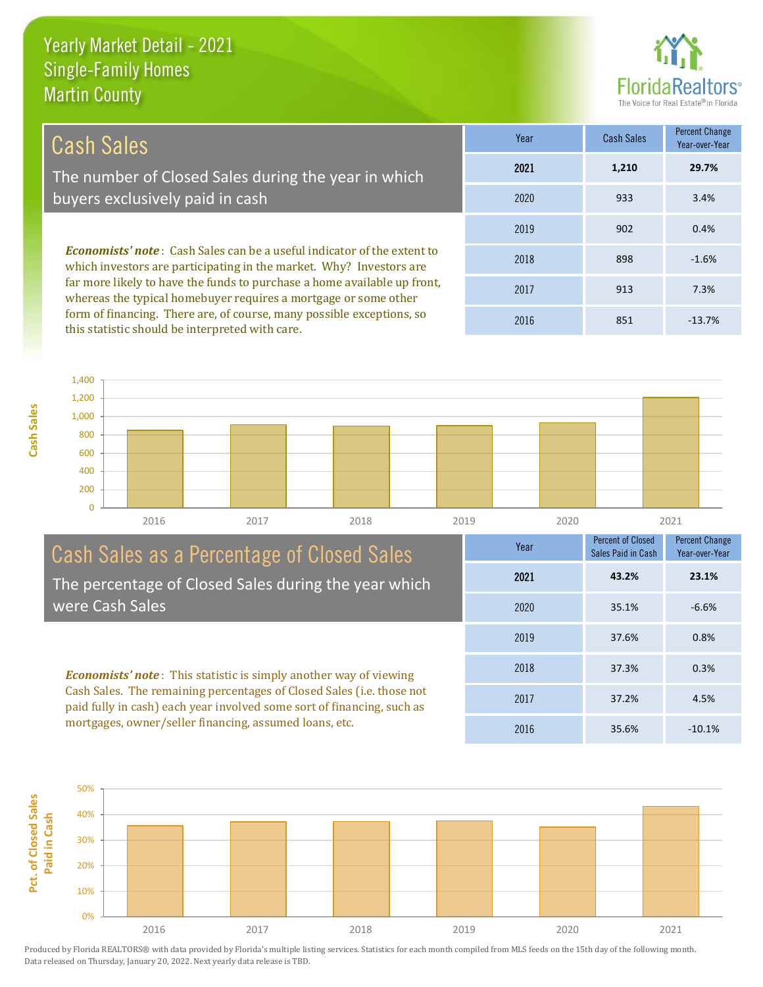

851 -13.7%

|                                                                                                                                                       | Year | <b>Cash Sales</b> | Percent Change<br>Year-over-Year |
|-------------------------------------------------------------------------------------------------------------------------------------------------------|------|-------------------|----------------------------------|
| The number of Closed Sales during the year in which                                                                                                   | 2021 | 1,210             | 29.7%                            |
| buyers exclusively paid in cash                                                                                                                       | 2020 | 933               | 3.4%                             |
|                                                                                                                                                       | 2019 | 902               | 0.4%                             |
| <b>Economists' note:</b> Cash Sales can be a useful indicator of the extent to<br>which investors are participating in the market. Why? Investors are | 2018 | 898               | $-1.6%$                          |
| far more likely to have the funds to purchase a home available up front,<br>whereas the typical homebuyer requires a mortgage or some other           | 2017 | 913               | 7.3%                             |

2016 form of financing. There are, of course, many possible exceptions, so this statistic should be interpreted with care. 1,200 1,400



# Cash Sales as a Percentage of Closed Sales The percentage of Closed Sales during the year which were Cash Sales

*Economists' note* : This statistic is simply another way of viewing Cash Sales. The remaining percentages of Closed Sales (i.e. those not paid fully in cash) each year involved some sort of financing, such as mortgages, owner/seller financing, assumed loans, etc.



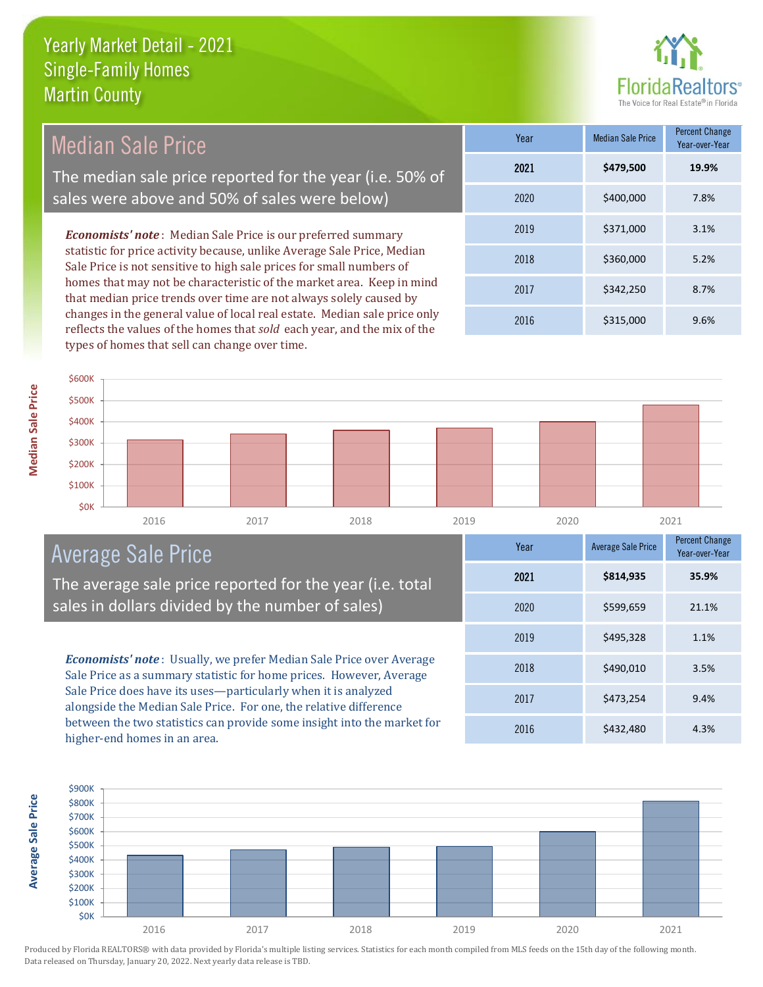

| Median Sale Price                                                                                                                               | Year | <b>Median Sale Price</b> | Percent Change<br>Year-over-Year |
|-------------------------------------------------------------------------------------------------------------------------------------------------|------|--------------------------|----------------------------------|
| The median sale price reported for the year (i.e. 50% of                                                                                        | 2021 | \$479,500                | 19.9%                            |
| sales were above and 50% of sales were below)                                                                                                   | 2020 | \$400,000                | 7.8%                             |
| <b>Economists' note:</b> Median Sale Price is our preferred summary                                                                             | 2019 | \$371,000                | 3.1%                             |
| statistic for price activity because, unlike Average Sale Price, Median<br>Sale Price is not sensitive to high sale prices for small numbers of | 2018 | \$360,000                | 5.2%                             |
| homes that may not be characteristic of the market area. Keep in mind<br>that median price trends over time are not always solely caused by     | 2017 | \$342,250                | 8.7%                             |
| changes in the general value of local real estate. Median sale price only<br>انه بانتان التابين المعامل المتحدين المستحدين                      | 2016 | \$315,000                | 9.6%                             |



# Average Sale Price

The average sale price reported for the year (i.e. total sales in dollars divided by the number of sales)

reflects the values of the homes that *sold* each year, and the mix of the

types of homes that sell can change over time.

*Economists' note* : Usually, we prefer Median Sale Price over Average Sale Price as a summary statistic for home prices. However, Average Sale Price does have its uses—particularly when it is analyzed alongside the Median Sale Price. For one, the relative difference between the two statistics can provide some insight into the market for higher-end homes in an area.





**Average Sale Price** 

**Median Sale Price**

**Median Sale Price**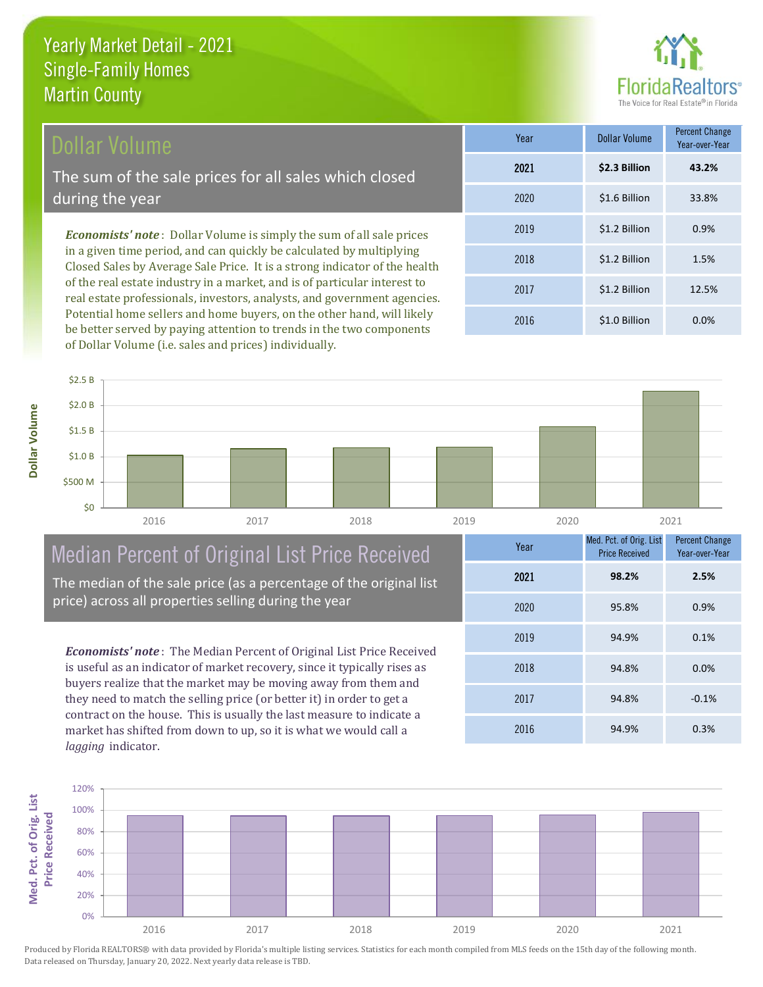# Dollar Volume

The sum of the sale prices for all sales which closed during the year

*Economists' note* : Dollar Volume is simply the sum of all sale prices in a given time period, and can quickly be calculated by multiplying Closed Sales by Average Sale Price. It is a strong indicator of the health of the real estate industry in a market, and is of particular interest to real estate professionals, investors, analysts, and government agencies. Potential home sellers and home buyers, on the other hand, will likely be better served by paying attention to trends in the two components of Dollar Volume (i.e. sales and prices) individually.

| Year | <b>Dollar Volume</b> | <b>Percent Change</b><br>Year-over-Year |
|------|----------------------|-----------------------------------------|
| 2021 | \$2.3 Billion        | 43.2%                                   |
| 2020 | \$1.6 Billion        | 33.8%                                   |
| 2019 | \$1.2 Billion        | 0.9%                                    |
| 2018 | \$1.2 Billion        | 1.5%                                    |
| 2017 | \$1.2 Billion        | 12.5%                                   |
| 2016 | \$1.0 Billion        | 0.0%                                    |

**Dollar Volume**



# Median Percent of Original List Price Received

The median of the sale price (as a percentage of the original list price) across all properties selling during the year

*Economists' note* : The Median Percent of Original List Price Received is useful as an indicator of market recovery, since it typically rises as buyers realize that the market may be moving away from them and they need to match the selling price (or better it) in order to get a contract on the house. This is usually the last measure to indicate a market has shifted from down to up, so it is what we would call a *lagging* indicator.

| Year | Med. Pct. of Orig. List<br><b>Price Received</b> | <b>Percent Change</b><br>Year-over-Year |
|------|--------------------------------------------------|-----------------------------------------|
| 2021 | 98.2%                                            | 2.5%                                    |
| 2020 | 95.8%                                            | 0.9%                                    |
| 2019 | 94.9%                                            | 0.1%                                    |
| 2018 | 94.8%                                            | 0.0%                                    |
| 2017 | 94.8%                                            | $-0.1%$                                 |
| 2016 | 94.9%                                            | 0.3%                                    |

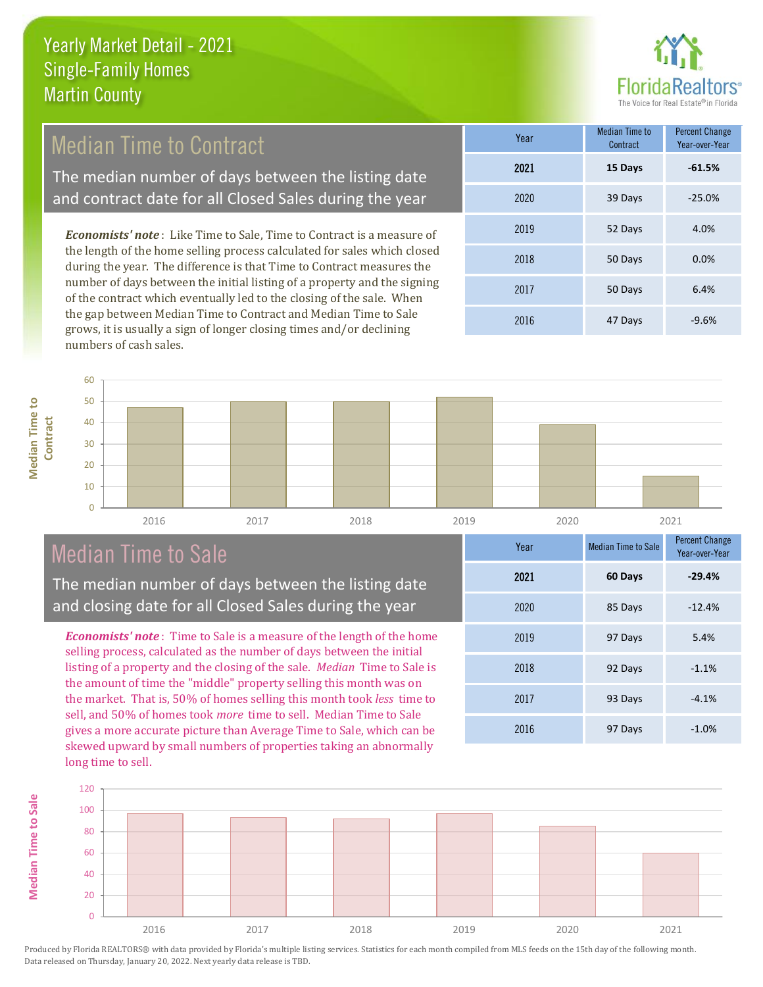

# Median Time to Contract

The median number of days between the listing date and contract date for all Closed Sales during the year

*Economists' note* : Like Time to Sale, Time to Contract is a measure of the length of the home selling process calculated for sales which closed during the year. The difference is that Time to Contract measures the number of days between the initial listing of a property and the signing of the contract which eventually led to the closing of the sale. When the gap between Median Time to Contract and Median Time to Sale grows, it is usually a sign of longer closing times and/or declining numbers of cash sales.

| Year | <b>Median Time to</b><br>Contract | <b>Percent Change</b><br>Year-over-Year |
|------|-----------------------------------|-----------------------------------------|
| 2021 | 15 Days                           | $-61.5%$                                |
| 2020 | 39 Days                           | $-25.0%$                                |
| 2019 | 52 Days                           | 4.0%                                    |
| 2018 | 50 Days                           | 0.0%                                    |
| 2017 | 50 Days                           | 6.4%                                    |
| 2016 | 47 Days                           | $-9.6%$                                 |



# Median Time to Sale

**Median Time to Sale**

**Median Time to Sale** 

The median number of days between the listing date and closing date for all Closed Sales during the year

*Economists' note* : Time to Sale is a measure of the length of the home selling process, calculated as the number of days between the initial listing of a property and the closing of the sale. *Median* Time to Sale is the amount of time the "middle" property selling this month was on the market. That is, 50% of homes selling this month took *less* time to sell, and 50% of homes took *more* time to sell. Median Time to Sale gives a more accurate picture than Average Time to Sale, which can be skewed upward by small numbers of properties taking an abnormally long time to sell.

| Year | <b>Median Time to Sale</b> | <b>Percent Change</b><br>Year-over-Year |
|------|----------------------------|-----------------------------------------|
| 2021 | 60 Days                    | $-29.4%$                                |
| 2020 | 85 Days                    | $-12.4%$                                |
| 2019 | 97 Days                    | 5.4%                                    |
| 2018 | 92 Days                    | $-1.1%$                                 |
| 2017 | 93 Days                    | $-4.1%$                                 |
| 2016 | 97 Days                    | $-1.0%$                                 |

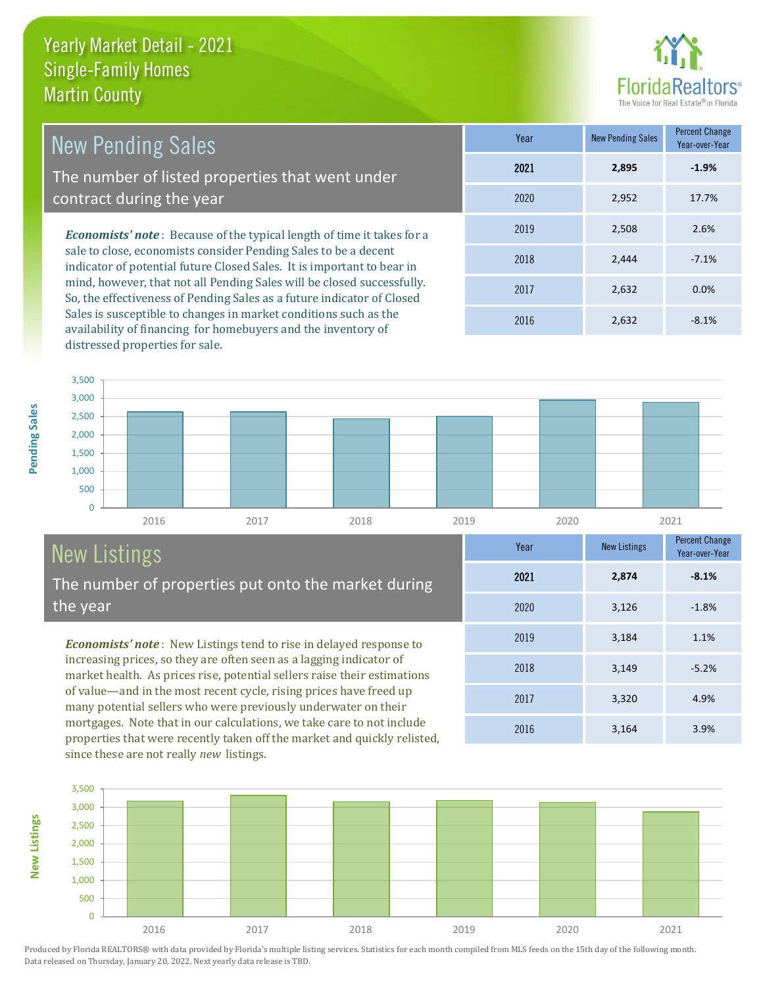

| <b>New Pending Sales</b>                                                                                                                  | Year | <b>New Pending Sales</b> | <b>Percent Change</b><br>Year-over-Year |
|-------------------------------------------------------------------------------------------------------------------------------------------|------|--------------------------|-----------------------------------------|
| The number of listed properties that went under                                                                                           | 2021 | 2,895                    | $-1.9%$                                 |
| contract during the year                                                                                                                  | 2020 | 2,952                    | 17.7%                                   |
| <b>Economists' note:</b> Because of the typical length of time it takes for a                                                             | 2019 | 2,508                    | 2.6%                                    |
| sale to close, economists consider Pending Sales to be a decent<br>indicator of potential future Closed Sales. It is important to bear in | 2018 | 2.444                    | $-7.1%$                                 |
| mind, however, that not all Pending Sales will be closed successfully.                                                                    | 2017 | 2022                     | $\cap$ $\cap$ <sup>0</sup>              |

So, the effectiveness of Pending Sales as a future indicator of Closed Sales is susceptible to changes in market conditions such as the availability of financing for homebuyers and the inventory of distressed properties for sale.

2017 2,632 0.0% 2016 2,632 -8.1%



# New Listings

The number of properties put onto the market during the year

*Economists' note* : New Listings tend to rise in delayed response to increasing prices, so they are often seen as a lagging indicator of market health. As prices rise, potential sellers raise their estimations of value—and in the most recent cycle, rising prices have freed up many potential sellers who were previously underwater on their mortgages. Note that in our calculations, we take care to not include properties that were recently taken off the market and quickly relisted, since these are not really *new* listings.



Produced by Florida REALTORS® with data provided by Florida's multiple listing services. Statistics for each month compiled from MLS feeds on the 15th day of the following month. Data released on Thursday, January 20, 2022. Next yearly data release is TBD.

**New Listings**

**Year** New Listings Percent Change

3,149 -5.2% Year-over-Year 2021 **2,874** 2016 3,164 3.9% 2017 3,320 4.9% 2019 3,184 1.1% **-8.1%** 2020 3,126 -1.8% 2018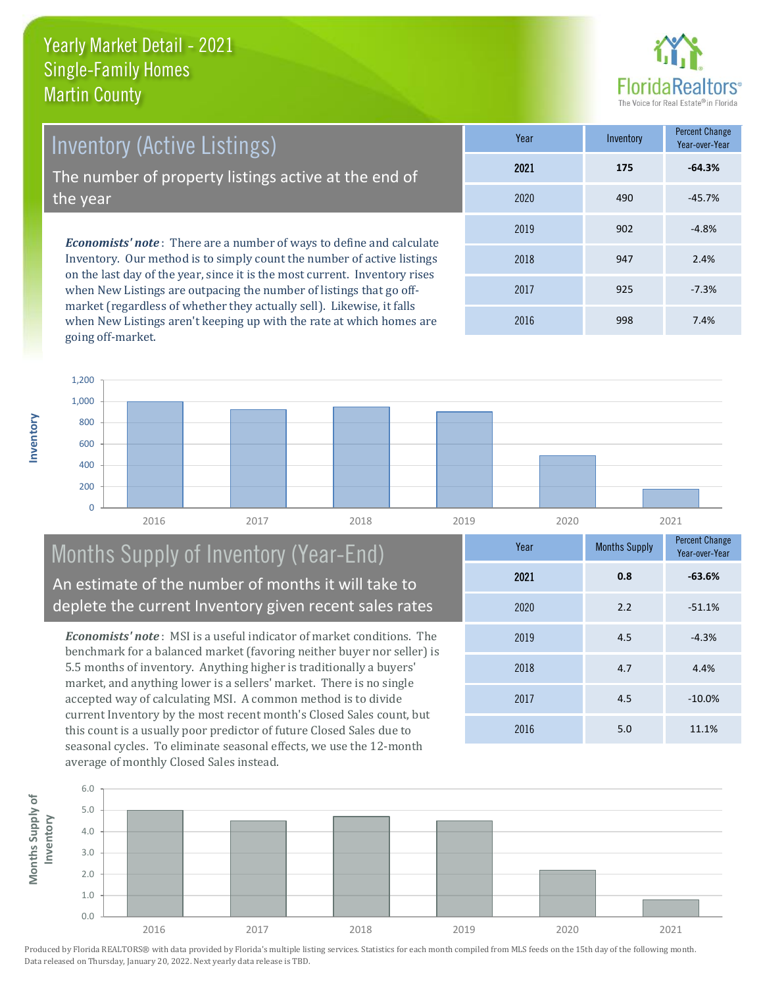

*Economists' note* : There are a number of ways to define and calculate Inventory. Our method is to simply count the number of active listings on the last day of the year, since it is the most current. Inventory rises 2019 902 Inventory (Active Listings) The number of property listings active at the end of the year

when New Listings are outpacing the number of listings that go offmarket (regardless of whether they actually sell). Likewise, it falls when New Listings aren't keeping up with the rate at which homes are going off-market.

| Year | Inventory | Percent Change<br>Year-over-Year |
|------|-----------|----------------------------------|
| 2021 | 175       | $-64.3%$                         |
| 2020 | 490       | $-45.7%$                         |
| 2019 | 902       | $-4.8%$                          |
| 2018 | 947       | 2.4%                             |
| 2017 | 925       | $-7.3%$                          |
| 2016 | 998       | 7.4%                             |



# Months Supply of Inventory (Year-End) An estimate of the number of months it will take to deplete the current Inventory given recent sales rates

*Economists' note* : MSI is a useful indicator of market conditions. The benchmark for a balanced market (favoring neither buyer nor seller) is 5.5 months of inventory. Anything higher is traditionally a buyers' market, and anything lower is a sellers' market. There is no single accepted way of calculating MSI. A common method is to divide current Inventory by the most recent month's Closed Sales count, but this count is a usually poor predictor of future Closed Sales due to seasonal cycles. To eliminate seasonal effects, we use the 12-month average of monthly Closed Sales instead.

| Year | <b>Months Supply</b> | <b>Percent Change</b><br>Year-over-Year |
|------|----------------------|-----------------------------------------|
| 2021 | 0.8                  | $-63.6%$                                |
| 2020 | 2.2                  | $-51.1%$                                |
| 2019 | 4.5                  | $-4.3%$                                 |
| 2018 | 4.7                  | 4.4%                                    |
| 2017 | 4.5                  | $-10.0%$                                |
| 2016 | 5.0                  | 11.1%                                   |



**Inventory**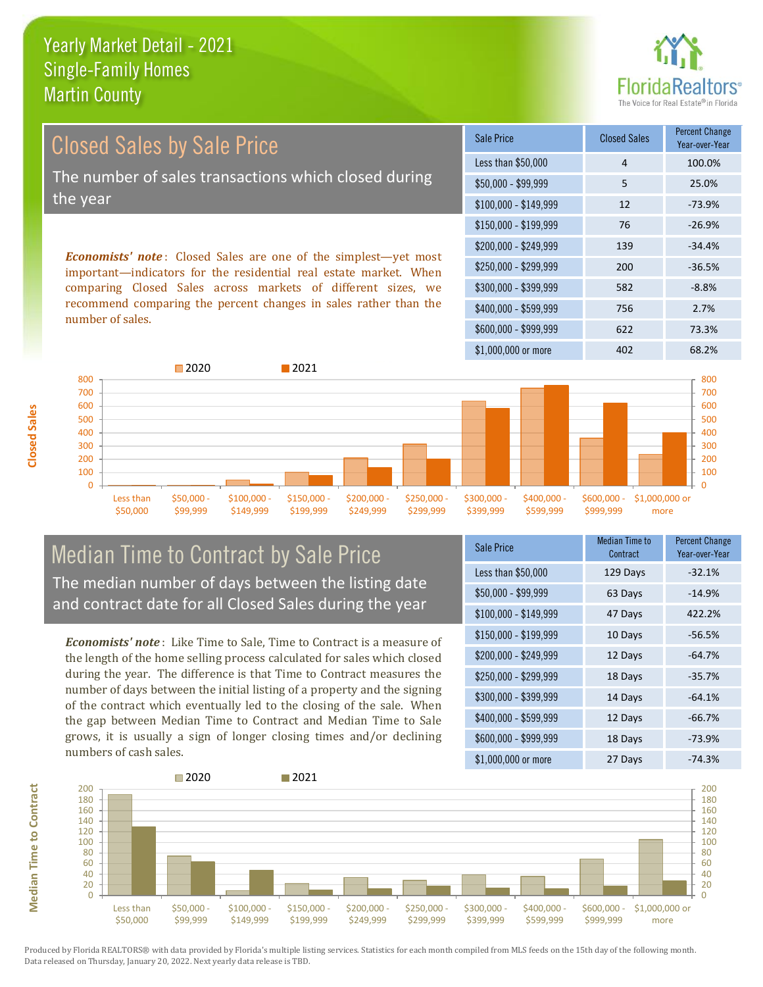

Closed Sales by Sale Price The number of sales transactions which closed during the year

*Economists' note* : Closed Sales are one of the simplest—yet most important—indicators for the residential real estate market. When comparing Closed Sales across markets of different sizes, we recommend comparing the percent changes in sales rather than the number of sales.

| Sale Price            | <b>Closed Sales</b> | <b>Percent Change</b><br>Year-over-Year |
|-----------------------|---------------------|-----------------------------------------|
| Less than \$50,000    | 4                   | 100.0%                                  |
| $$50,000 - $99,999$   | 5                   | 25.0%                                   |
| $$100,000 - $149,999$ | 12                  | $-73.9%$                                |
| $$150,000 - $199,999$ | 76                  | $-26.9%$                                |
| \$200,000 - \$249,999 | 139                 | $-34.4%$                                |
| \$250,000 - \$299,999 | 200                 | $-36.5%$                                |
| \$300,000 - \$399,999 | 582                 | $-8.8%$                                 |
| \$400,000 - \$599,999 | 756                 | 2.7%                                    |
| \$600,000 - \$999,999 | 622                 | 73.3%                                   |
| \$1,000,000 or more   | 402                 | 68.2%                                   |



## Median Time to Contract by Sale Price The median number of days between the listing date and contract date for all Closed Sales during the year

*Economists' note* : Like Time to Sale, Time to Contract is a measure of the length of the home selling process calculated for sales which closed during the year. The difference is that Time to Contract measures the number of days between the initial listing of a property and the signing of the contract which eventually led to the closing of the sale. When the gap between Median Time to Contract and Median Time to Sale grows, it is usually a sign of longer closing times and/or declining numbers of cash sales.

| <b>Sale Price</b>     | <b>Median Time to</b><br>Contract | <b>Percent Change</b><br>Year-over-Year |
|-----------------------|-----------------------------------|-----------------------------------------|
| Less than \$50,000    | 129 Days                          | $-32.1%$                                |
| \$50,000 - \$99,999   | 63 Days                           | $-14.9%$                                |
| $$100,000 - $149,999$ | 47 Days                           | 422.2%                                  |
| $$150,000 - $199,999$ | 10 Days                           | $-56.5%$                                |
| \$200,000 - \$249,999 | 12 Days                           | $-64.7%$                                |
| \$250,000 - \$299,999 | 18 Days                           | $-35.7%$                                |
| \$300,000 - \$399,999 | 14 Days                           | $-64.1%$                                |
| \$400,000 - \$599,999 | 12 Days                           | $-66.7%$                                |
| \$600,000 - \$999,999 | 18 Days                           | $-73.9%$                                |
| $$1$ 000 000 or more  | סעבם 77                           | -74 204                                 |

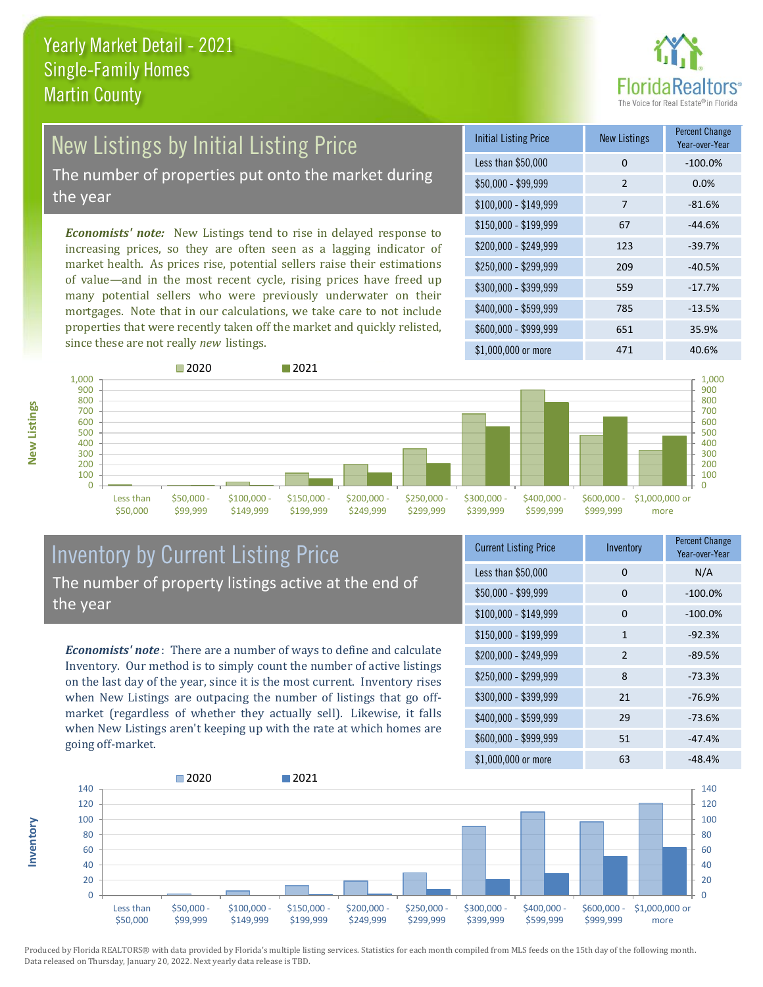

# New Listings by Initial Listing Price

The number of properties put onto the market during the year

*Economists' note:* New Listings tend to rise in delayed response to increasing prices, so they are often seen as a lagging indicator of market health. As prices rise, potential sellers raise their estimations of value—and in the most recent cycle, rising prices have freed up many potential sellers who were previously underwater on their mortgages. Note that in our calculations, we take care to not include properties that were recently taken off the market and quickly relisted, since these are not really *new* listings.

| <b>Initial Listing Price</b> | <b>New Listings</b> | <b>Percent Change</b><br>Year-over-Year |
|------------------------------|---------------------|-----------------------------------------|
| Less than \$50,000           | 0                   | $-100.0%$                               |
| $$50,000 - $99,999$          | $\mathcal{P}$       | 0.0%                                    |
| $$100,000 - $149,999$        | 7                   | $-81.6%$                                |
| \$150,000 - \$199,999        | 67                  | $-44.6%$                                |
| \$200,000 - \$249,999        | 123                 | $-39.7%$                                |
| \$250,000 - \$299,999        | 209                 | $-40.5%$                                |
| \$300,000 - \$399,999        | 559                 | $-17.7%$                                |
| \$400,000 - \$599,999        | 785                 | $-13.5%$                                |
| \$600,000 - \$999,999        | 651                 | 35.9%                                   |
| \$1,000,000 or more          | 471                 | 40.6%                                   |



### Inventory by Current Listing Price The number of property listings active at the end of the year

*Economists' note* : There are a number of ways to define and calculate Inventory. Our method is to simply count the number of active listings on the last day of the year, since it is the most current. Inventory rises when New Listings are outpacing the number of listings that go offmarket (regardless of whether they actually sell). Likewise, it falls when New Listings aren't keeping up with the rate at which homes are going off-market.

| <b>Current Listing Price</b> | Inventory     | Percent Change<br>Year-over-Year |
|------------------------------|---------------|----------------------------------|
| Less than \$50,000           | 0             | N/A                              |
| $$50,000 - $99,999$          | 0             | $-100.0%$                        |
| $$100,000 - $149,999$        | 0             | $-100.0%$                        |
| $$150,000 - $199,999$        | $\mathbf{1}$  | $-92.3%$                         |
| \$200,000 - \$249,999        | $\mathcal{P}$ | $-89.5%$                         |
| \$250,000 - \$299,999        | 8             | $-73.3%$                         |
| \$300,000 - \$399,999        | 21            | $-76.9%$                         |
| \$400,000 - \$599,999        | 29            | $-73.6%$                         |
| \$600,000 - \$999,999        | 51            | $-47.4%$                         |
| \$1,000,000 or more          | 63            | $-48.4%$                         |



Produced by Florida REALTORS® with data provided by Florida's multiple listing services. Statistics for each month compiled from MLS feeds on the 15th day of the following month. Data released on Thursday, January 20, 2022. Next yearly data release is TBD.

**Inventory**